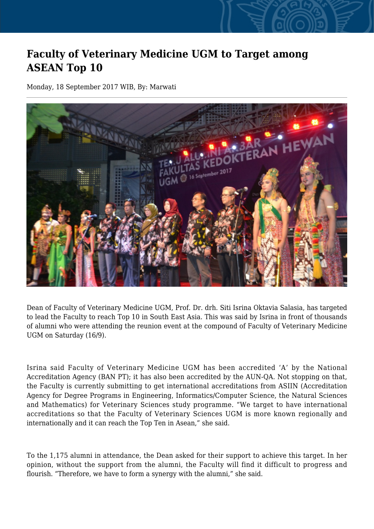## **Faculty of Veterinary Medicine UGM to Target among ASEAN Top 10**

Monday, 18 September 2017 WIB, By: Marwati



Dean of Faculty of Veterinary Medicine UGM, Prof. Dr. drh. Siti Isrina Oktavia Salasia, has targeted to lead the Faculty to reach Top 10 in South East Asia. This was said by Isrina in front of thousands of alumni who were attending the reunion event at the compound of Faculty of Veterinary Medicine UGM on Saturday (16/9).

Isrina said Faculty of Veterinary Medicine UGM has been accredited 'A' by the National Accreditation Agency (BAN PT); it has also been accredited by the AUN-QA. Not stopping on that, the Faculty is currently submitting to get international accreditations from ASIIN (Accreditation Agency for Degree Programs in Engineering, Informatics/Computer Science, the Natural Sciences and Mathematics) for Veterinary Sciences study programme. "We target to have international accreditations so that the Faculty of Veterinary Sciences UGM is more known regionally and internationally and it can reach the Top Ten in Asean," she said.

To the 1,175 alumni in attendance, the Dean asked for their support to achieve this target. In her opinion, without the support from the alumni, the Faculty will find it difficult to progress and flourish. "Therefore, we have to form a synergy with the alumni," she said.